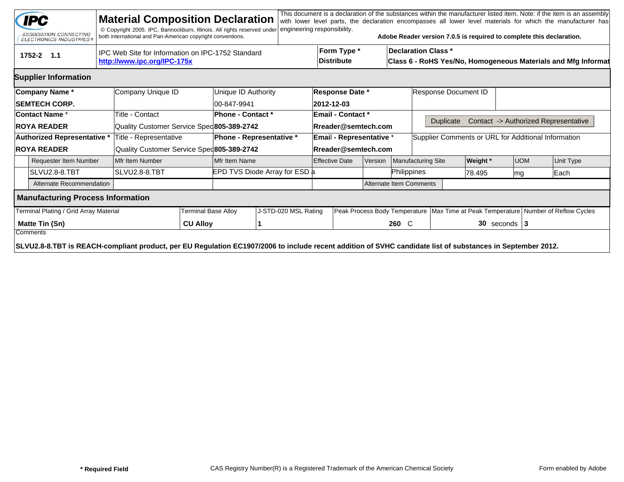|                                                                                                    | <b>IPC</b><br>ASSOCIATION CONNECTING<br>ELECTRONICS INDUSTRIES®                                                                                            |  | <b>Material Composition Declaration</b><br>© Copyright 2005. IPC, Bannockburn, Illinois. All rights reserved under<br>both international and Pan-American copyright conventions. |                                           |                          | engineering responsibility.   |                          |                                                                                                                                 |         |                    | Adobe Reader version 7.0.5 is required to complete this declaration.                   |                 |            |  | This document is a declaration of the substances within the manufacturer listed item. Note: if the item is an assembly<br>with lower level parts, the declaration encompasses all lower level materials for which the manufacturer has |  |
|----------------------------------------------------------------------------------------------------|------------------------------------------------------------------------------------------------------------------------------------------------------------|--|----------------------------------------------------------------------------------------------------------------------------------------------------------------------------------|-------------------------------------------|--------------------------|-------------------------------|--------------------------|---------------------------------------------------------------------------------------------------------------------------------|---------|--------------------|----------------------------------------------------------------------------------------|-----------------|------------|--|----------------------------------------------------------------------------------------------------------------------------------------------------------------------------------------------------------------------------------------|--|
| IPC Web Site for Information on IPC-1752 Standard<br>$1752 - 2$ 1.1<br>http://www.ipc.org/IPC-175x |                                                                                                                                                            |  |                                                                                                                                                                                  |                                           |                          |                               |                          | Form Type *<br><b>Declaration Class *</b><br><b>Distribute</b><br>Class 6 - RoHS Yes/No, Homogeneous Materials and Mfg Informat |         |                    |                                                                                        |                 |            |  |                                                                                                                                                                                                                                        |  |
|                                                                                                    | <b>Supplier Information</b>                                                                                                                                |  |                                                                                                                                                                                  |                                           |                          |                               |                          |                                                                                                                                 |         |                    |                                                                                        |                 |            |  |                                                                                                                                                                                                                                        |  |
|                                                                                                    | Company Name*                                                                                                                                              |  | Company Unique ID                                                                                                                                                                |                                           | Unique ID Authority      |                               | <b>Response Date *</b>   |                                                                                                                                 |         |                    | Response Document ID                                                                   |                 |            |  |                                                                                                                                                                                                                                        |  |
|                                                                                                    | <b>ISEMTECH CORP.</b>                                                                                                                                      |  |                                                                                                                                                                                  |                                           | 00-847-9941              |                               |                          | 2012-12-03                                                                                                                      |         |                    |                                                                                        |                 |            |  |                                                                                                                                                                                                                                        |  |
|                                                                                                    | ∣Contact Name *                                                                                                                                            |  | Title - Contact                                                                                                                                                                  |                                           | <b>Phone - Contact *</b> |                               |                          | <b>Email - Contact *</b>                                                                                                        |         |                    |                                                                                        |                 |            |  |                                                                                                                                                                                                                                        |  |
|                                                                                                    | <b>ROYA READER</b>                                                                                                                                         |  | Quality Customer Service Spec 805-389-2742                                                                                                                                       |                                           |                          |                               |                          | Rreader@semtech.com                                                                                                             |         |                    | <b>Duplicate</b>                                                                       |                 |            |  | Contact -> Authorized Representative                                                                                                                                                                                                   |  |
|                                                                                                    | Authorized Representative *                                                                                                                                |  | Title - Representative                                                                                                                                                           | Phone - Representative *                  |                          |                               | Email - Representative * |                                                                                                                                 |         |                    | Supplier Comments or URL for Additional Information                                    |                 |            |  |                                                                                                                                                                                                                                        |  |
| <b>ROYA READER</b>                                                                                 |                                                                                                                                                            |  |                                                                                                                                                                                  | Quality Customer Service Sped805-389-2742 |                          |                               | Rreader@semtech.com      |                                                                                                                                 |         |                    |                                                                                        |                 |            |  |                                                                                                                                                                                                                                        |  |
| <b>Requester Item Number</b>                                                                       |                                                                                                                                                            |  | Mfr Item Number                                                                                                                                                                  |                                           | Mfr Item Name            |                               |                          | <b>Effective Date</b>                                                                                                           | Version | Manufacturing Site |                                                                                        | <b>Weight</b> * | <b>UOM</b> |  | Unit Type                                                                                                                                                                                                                              |  |
|                                                                                                    | ISLVU2.8-8.TBT                                                                                                                                             |  | SLVU2.8-8.TBT                                                                                                                                                                    |                                           |                          | EPD TVS Diode Array for ESD a |                          |                                                                                                                                 |         | Philippines        | 78.495                                                                                 |                 | lmg        |  | Each                                                                                                                                                                                                                                   |  |
|                                                                                                    | Alternate Recommendation                                                                                                                                   |  |                                                                                                                                                                                  |                                           |                          |                               |                          | Alternate Item Comments                                                                                                         |         |                    |                                                                                        |                 |            |  |                                                                                                                                                                                                                                        |  |
|                                                                                                    | <b>Manufacturing Process Information</b>                                                                                                                   |  |                                                                                                                                                                                  |                                           |                          |                               |                          |                                                                                                                                 |         |                    |                                                                                        |                 |            |  |                                                                                                                                                                                                                                        |  |
|                                                                                                    | Terminal Plating / Grid Array Material                                                                                                                     |  |                                                                                                                                                                                  | <b>Terminal Base Alloy</b>                | J-STD-020 MSL Rating     |                               |                          |                                                                                                                                 |         |                    | Peak Process Body Temperature   Max Time at Peak Temperature   Number of Reflow Cycles |                 |            |  |                                                                                                                                                                                                                                        |  |
|                                                                                                    | Matte Tin (Sn)<br>Comments                                                                                                                                 |  |                                                                                                                                                                                  | <b>CU Alloy</b>                           |                          |                               |                          |                                                                                                                                 |         | 260 C              | $30$ seconds   3                                                                       |                 |            |  |                                                                                                                                                                                                                                        |  |
|                                                                                                    | SLVU2.8-8.TBT is REACH-compliant product, per EU Regulation EC1907/2006 to include recent addition of SVHC candidate list of substances in September 2012. |  |                                                                                                                                                                                  |                                           |                          |                               |                          |                                                                                                                                 |         |                    |                                                                                        |                 |            |  |                                                                                                                                                                                                                                        |  |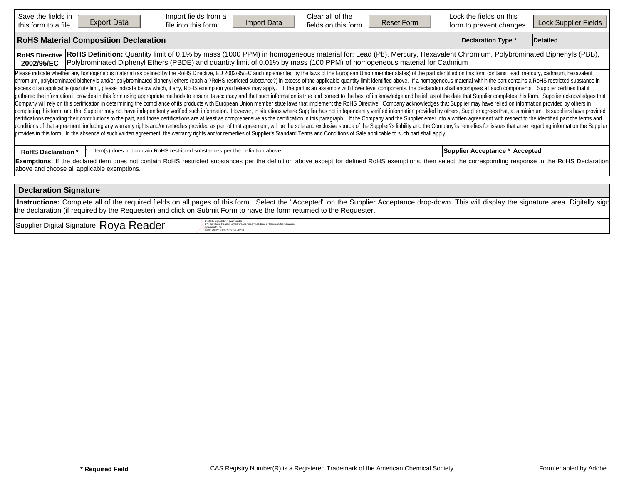| Save the fields in<br>this form to a file                                                                                                                                                                                                                                                                                          | <b>Export Data</b>                                                                                                                                                                                                                                                                                                                                                                                                                                                                                                                                                                                                                                                                                                                                                                                                                                                                                                                                                                                                                                                                                                                                                                                                                                                                                                                                                                                                                                                                                                                                                                                                                                                                                                                                                                                                                                                                                                                                                                                                                                                          | Import fields from a<br>file into this form                                    | <b>Import Data</b> | Clear all of the<br>fields on this form | <b>Reset Form</b> | Lock the fields on this<br>form to prevent changes | Lock Supplier Fields |  |  |  |  |  |  |
|------------------------------------------------------------------------------------------------------------------------------------------------------------------------------------------------------------------------------------------------------------------------------------------------------------------------------------|-----------------------------------------------------------------------------------------------------------------------------------------------------------------------------------------------------------------------------------------------------------------------------------------------------------------------------------------------------------------------------------------------------------------------------------------------------------------------------------------------------------------------------------------------------------------------------------------------------------------------------------------------------------------------------------------------------------------------------------------------------------------------------------------------------------------------------------------------------------------------------------------------------------------------------------------------------------------------------------------------------------------------------------------------------------------------------------------------------------------------------------------------------------------------------------------------------------------------------------------------------------------------------------------------------------------------------------------------------------------------------------------------------------------------------------------------------------------------------------------------------------------------------------------------------------------------------------------------------------------------------------------------------------------------------------------------------------------------------------------------------------------------------------------------------------------------------------------------------------------------------------------------------------------------------------------------------------------------------------------------------------------------------------------------------------------------------|--------------------------------------------------------------------------------|--------------------|-----------------------------------------|-------------------|----------------------------------------------------|----------------------|--|--|--|--|--|--|
|                                                                                                                                                                                                                                                                                                                                    | <b>RoHS Material Composition Declaration</b><br><b>Declaration Type *</b><br><b>Detailed</b>                                                                                                                                                                                                                                                                                                                                                                                                                                                                                                                                                                                                                                                                                                                                                                                                                                                                                                                                                                                                                                                                                                                                                                                                                                                                                                                                                                                                                                                                                                                                                                                                                                                                                                                                                                                                                                                                                                                                                                                |                                                                                |                    |                                         |                   |                                                    |                      |  |  |  |  |  |  |
| RoHS Definition: Quantity limit of 0.1% by mass (1000 PPM) in homogeneous material for: Lead (Pb), Mercury, Hexavalent Chromium, Polybrominated Biphenyls (PBB),<br><b>RoHS Directive</b><br>Polybrominated Diphenyl Ethers (PBDE) and quantity limit of 0.01% by mass (100 PPM) of homogeneous material for Cadmium<br>2002/95/EC |                                                                                                                                                                                                                                                                                                                                                                                                                                                                                                                                                                                                                                                                                                                                                                                                                                                                                                                                                                                                                                                                                                                                                                                                                                                                                                                                                                                                                                                                                                                                                                                                                                                                                                                                                                                                                                                                                                                                                                                                                                                                             |                                                                                |                    |                                         |                   |                                                    |                      |  |  |  |  |  |  |
|                                                                                                                                                                                                                                                                                                                                    | Please indicate whether any homogeneous material (as defined by the RoHS Directive, EU 2002/95/EC and implemented by the laws of the European Union member states) of the part identified on this form contains lead, mercury,<br>chromium, polybrominated biphenyls and/or polybrominated diphenyl ethers (each a ?RoHS restricted substance?) in excess of the applicable quantity limit identified above. If a homogeneous material within the part contains<br>excess of an applicable quantity limit, please indicate below which, if any, RoHS exemption you believe may apply. If the part is an assembly with lower level components, the declaration shall encompass all such components<br>gathered the information it provides in this form using appropriate methods to ensure its accuracy and that such information is true and correct to the best of its knowledge and belief, as of the date that Supplier complet<br>Company will rely on this certification in determining the compliance of its products with European Union member state laws that implement the RoHS Directive. Company acknowledges that Supplier may have relied on informati<br>completing this form, and that Supplier may not have independently verified such information. However, in situations where Supplier has not independently verified information provided by others, Supplier agrees that, at a<br>certifications regarding their contributions to the part, and those certifications are at least as comprehensive as the certification in this paragraph. If the Company and the Supplier enter into a written agreement with r<br>conditions of that agreement, including any warranty rights and/or remedies provided as part of that agreement, will be the sole and exclusive source of the Supplier?s liability and the Company?s remedies for issues that a<br>provides in this form. In the absence of such written agreement, the warranty rights and/or remedies of Supplier's Standard Terms and Conditions of Sale applicable to such part shall apply. |                                                                                |                    |                                         |                   |                                                    |                      |  |  |  |  |  |  |
| <b>RoHS Declaration *</b>                                                                                                                                                                                                                                                                                                          |                                                                                                                                                                                                                                                                                                                                                                                                                                                                                                                                                                                                                                                                                                                                                                                                                                                                                                                                                                                                                                                                                                                                                                                                                                                                                                                                                                                                                                                                                                                                                                                                                                                                                                                                                                                                                                                                                                                                                                                                                                                                             | - Item(s) does not contain RoHS restricted substances per the definition above |                    |                                         |                   | Supplier Acceptance * Accepted                     |                      |  |  |  |  |  |  |
| Exemptions: If the declared item does not contain RoHS restricted substances per the definition above except for defined RoHS exemptions, then select the corresponding response in the RoHS Declaration<br>above and choose all applicable exemptions.                                                                            |                                                                                                                                                                                                                                                                                                                                                                                                                                                                                                                                                                                                                                                                                                                                                                                                                                                                                                                                                                                                                                                                                                                                                                                                                                                                                                                                                                                                                                                                                                                                                                                                                                                                                                                                                                                                                                                                                                                                                                                                                                                                             |                                                                                |                    |                                         |                   |                                                    |                      |  |  |  |  |  |  |
|                                                                                                                                                                                                                                                                                                                                    | <b>Declaration Signature</b>                                                                                                                                                                                                                                                                                                                                                                                                                                                                                                                                                                                                                                                                                                                                                                                                                                                                                                                                                                                                                                                                                                                                                                                                                                                                                                                                                                                                                                                                                                                                                                                                                                                                                                                                                                                                                                                                                                                                                                                                                                                |                                                                                |                    |                                         |                   |                                                    |                      |  |  |  |  |  |  |
| Instructions: Complete all of the required fields on all pages of this form. Select the "Accepted" on the Supplier Acceptance drop-down. This will display the signature area. Digitally sign                                                                                                                                      |                                                                                                                                                                                                                                                                                                                                                                                                                                                                                                                                                                                                                                                                                                                                                                                                                                                                                                                                                                                                                                                                                                                                                                                                                                                                                                                                                                                                                                                                                                                                                                                                                                                                                                                                                                                                                                                                                                                                                                                                                                                                             |                                                                                |                    |                                         |                   |                                                    |                      |  |  |  |  |  |  |

 $\sup_{\text{Supplier}}$  Digital Signature  $|\text{Roya Reader}|\$ 

DN: cn=Roya Reader, email=rreader@semnet.dom, o=Semtech Corporation,<br>l=camarillo, ca<br>Date: 2012.12.03 09:22:04 -08'00'

the declaration (if required by the Requester) and click on Submit Form to have the form returned to the Requester.